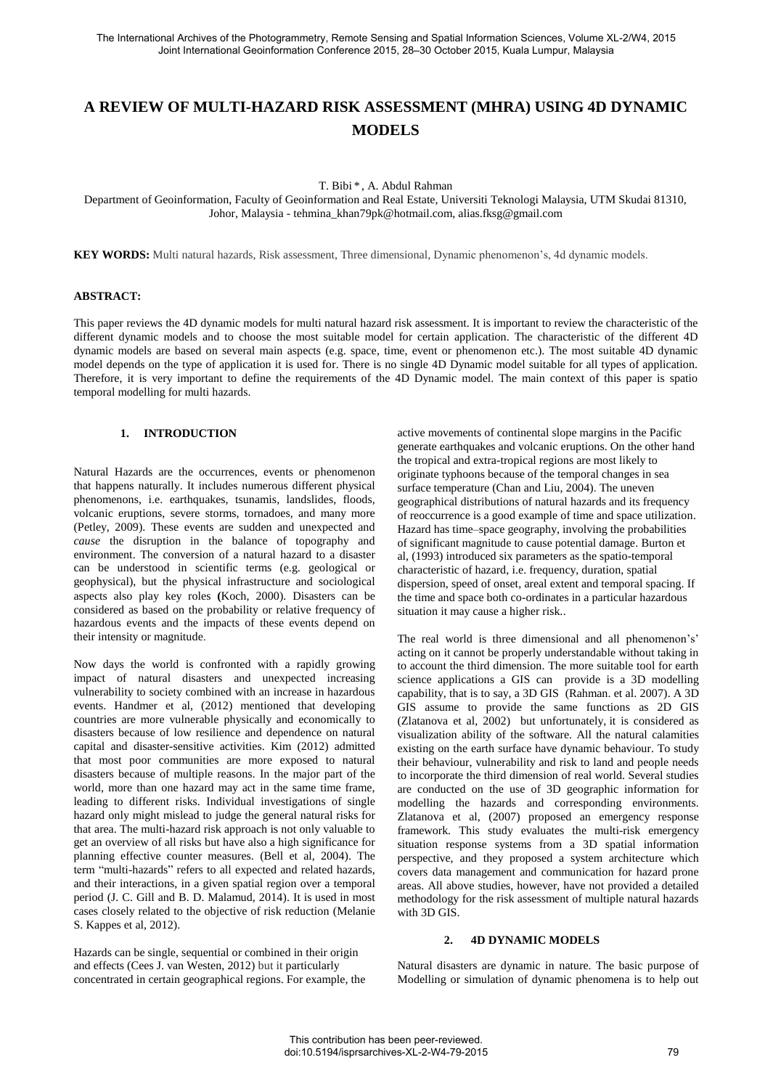# **A REVIEW OF MULTI-HAZARD RISK ASSESSMENT (MHRA) USING 4D DYNAMIC MODELS**

T. Bibi \* , A. Abdul Rahman

Department of Geoinformation, Faculty of Geoinformation and Real Estate, Universiti Teknologi Malaysia, UTM Skudai 81310, Johor, Malaysia - tehmina\_khan79pk@hotmail.com, alias.fksg@gmail.com

**KEY WORDS:** Multi natural hazards, Risk assessment, Three dimensional, Dynamic phenomenon's, 4d dynamic models.

#### **ABSTRACT:**

This paper reviews the 4D dynamic models for multi natural hazard risk assessment. It is important to review the characteristic of the different dynamic models and to choose the most suitable model for certain application. The characteristic of the different 4D dynamic models are based on several main aspects (e.g. space, time, event or phenomenon etc.). The most suitable 4D dynamic model depends on the type of application it is used for. There is no single 4D Dynamic model suitable for all types of application. Therefore, it is very important to define the requirements of the 4D Dynamic model. The main context of this paper is spatio temporal modelling for multi hazards.

#### **1. INTRODUCTION**

Natural Hazards are the occurrences, events or phenomenon that happens naturally. It includes numerous different physical phenomenons, i.e. earthquakes, tsunamis, landslides, floods, volcanic eruptions, severe storms, tornadoes, and many more (Petley, 2009). These events are sudden and unexpected and *cause* the disruption in the balance of topography and environment. The conversion of a natural hazard to a disaster can be understood in scientific terms (e.g. geological or geophysical), but the physical infrastructure and sociological aspects also play key roles **(**Koch, 2000). Disasters can be considered as based on the probability or relative frequency of hazardous events and the impacts of these events depend on their intensity or magnitude.

Now days the world is confronted with a rapidly growing impact of natural disasters and unexpected increasing vulnerability to society combined with an increase in hazardous events. Handmer et al, (2012) mentioned that developing countries are more vulnerable physically and economically to disasters because of low resilience and dependence on natural capital and disaster-sensitive activities. Kim (2012) admitted that most poor communities are more exposed to natural disasters because of multiple reasons. In the major part of the world, more than one hazard may act in the same time frame, leading to different risks. Individual investigations of single hazard only might mislead to judge the general natural risks for that area. The multi-hazard risk approach is not only valuable to get an overview of all risks but have also a high significance for planning effective counter measures. (Bell et al, 2004). The term "multi-hazards" refers to all expected and related hazards, and their interactions, in a given spatial region over a temporal period (J. C. Gill and B. D. Malamud, 2014). It is used in most cases closely related to the objective of risk reduction (Melanie S. Kappes et al, 2012).

Hazards can be single, sequential or combined in their origin and effects (Cees J. van Westen, 2012) but it particularly concentrated in certain geographical regions. For example, the active movements of continental slope margins in the Pacific generate earthquakes and volcanic eruptions. On the other hand the tropical and extra-tropical regions are most likely to originate typhoons because of the temporal changes in sea surface temperature (Chan and Liu, 2004). The uneven geographical distributions of natural hazards and its frequency of reoccurrence is a good example of time and space utilization. Hazard has time–space geography, involving the probabilities of significant magnitude to cause potential damage. Burton et al, (1993) introduced six parameters as the spatio-temporal characteristic of hazard, i.e. frequency, duration, spatial dispersion, speed of onset, areal extent and temporal spacing. If the time and space both co-ordinates in a particular hazardous situation it may cause a higher risk..

The real world is three dimensional and all phenomenon's' acting on it cannot be properly understandable without taking in to account the third dimension. The more suitable tool for earth science applications a GIS can provide is a 3D modelling capability, that is to say, a 3D GIS (Rahman. et al. 2007). A 3D GIS assume to provide the same functions as 2D GIS (Zlatanova et al, 2002) but unfortunately, it is considered as visualization ability of the software. All the natural calamities existing on the earth surface have dynamic behaviour. To study their behaviour, vulnerability and risk to land and people needs to incorporate the third dimension of real world. Several studies are conducted on the use of 3D geographic information for modelling the hazards and corresponding environments. Zlatanova et al, (2007) proposed an emergency response framework. This study evaluates the multi-risk emergency situation response systems from a 3D spatial information perspective, and they proposed a system architecture which covers data management and communication for hazard prone areas. All above studies, however, have not provided a detailed methodology for the risk assessment of multiple natural hazards with 3D GIS.

## **2. 4D DYNAMIC MODELS**

Natural disasters are dynamic in nature. The basic purpose of Modelling or simulation of dynamic phenomena is to help out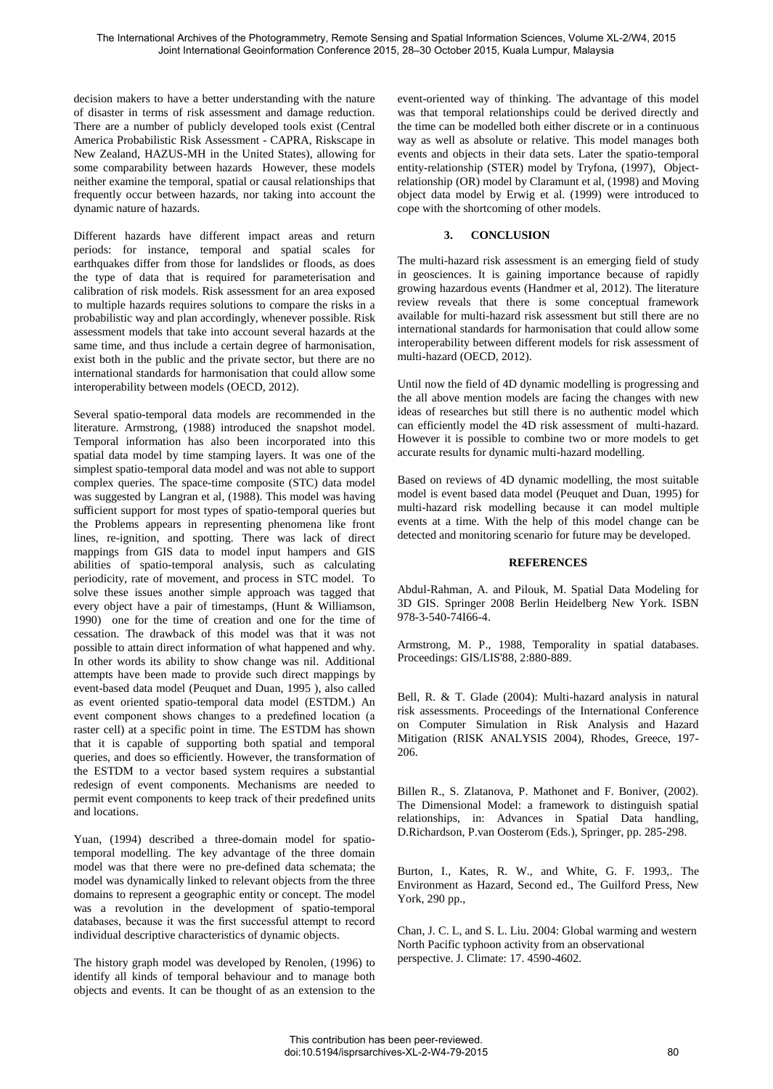decision makers to have a better understanding with the nature of disaster in terms of risk assessment and damage reduction. There are a number of publicly developed tools exist (Central America Probabilistic Risk Assessment - CAPRA, Riskscape in New Zealand, HAZUS-MH in the United States), allowing for some comparability between hazards However, these models neither examine the temporal, spatial or causal relationships that frequently occur between hazards, nor taking into account the dynamic nature of hazards.

Different hazards have different impact areas and return periods: for instance, temporal and spatial scales for earthquakes differ from those for landslides or floods, as does the type of data that is required for parameterisation and calibration of risk models. Risk assessment for an area exposed to multiple hazards requires solutions to compare the risks in a probabilistic way and plan accordingly, whenever possible. Risk assessment models that take into account several hazards at the same time, and thus include a certain degree of harmonisation, exist both in the public and the private sector, but there are no international standards for harmonisation that could allow some interoperability between models (OECD, 2012).

Several spatio-temporal data models are recommended in the literature. Armstrong, (1988) introduced the snapshot model. Temporal information has also been incorporated into this spatial data model by time stamping layers. It was one of the simplest spatio-temporal data model and was not able to support complex queries. The space-time composite (STC) data model was suggested by Langran et al, (1988). This model was having sufficient support for most types of spatio-temporal queries but the Problems appears in representing phenomena like front lines, re-ignition, and spotting. There was lack of direct mappings from GIS data to model input hampers and GIS abilities of spatio-temporal analysis, such as calculating periodicity, rate of movement, and process in STC model. To solve these issues another simple approach was tagged that every object have a pair of timestamps, (Hunt & Williamson, 1990) one for the time of creation and one for the time of cessation. The drawback of this model was that it was not possible to attain direct information of what happened and why. In other words its ability to show change was nil. Additional attempts have been made to provide such direct mappings by event-based data model (Peuquet and Duan, 1995 ), also called as event oriented spatio-temporal data model (ESTDM.) An event component shows changes to a predefined location (a raster cell) at a specific point in time. The ESTDM has shown that it is capable of supporting both spatial and temporal queries, and does so efficiently. However, the transformation of the ESTDM to a vector based system requires a substantial redesign of event components. Mechanisms are needed to permit event components to keep track of their predefined units and locations.

Yuan, (1994) described a three-domain model for spatiotemporal modelling. The key advantage of the three domain model was that there were no pre-defined data schemata; the model was dynamically linked to relevant objects from the three domains to represent a geographic entity or concept. The model was a revolution in the development of spatio-temporal databases, because it was the first successful attempt to record individual descriptive characteristics of dynamic objects.

The history graph model was developed by Renolen, (1996) to identify all kinds of temporal behaviour and to manage both objects and events. It can be thought of as an extension to the

event-oriented way of thinking. The advantage of this model was that temporal relationships could be derived directly and the time can be modelled both either discrete or in a continuous way as well as absolute or relative. This model manages both events and objects in their data sets. Later the spatio-temporal entity-relationship (STER) model by Tryfona, (1997), Objectrelationship (OR) model by Claramunt et al, (1998) and Moving object data model by Erwig et al. (1999) were introduced to cope with the shortcoming of other models.

## **3. CONCLUSION**

The multi-hazard risk assessment is an emerging field of study in geosciences. It is gaining importance because of rapidly growing hazardous events (Handmer et al, 2012). The literature review reveals that there is some conceptual framework available for multi-hazard risk assessment but still there are no international standards for harmonisation that could allow some interoperability between different models for risk assessment of multi-hazard (OECD, 2012).

Until now the field of 4D dynamic modelling is progressing and the all above mention models are facing the changes with new ideas of researches but still there is no authentic model which can efficiently model the 4D risk assessment of multi-hazard. However it is possible to combine two or more models to get accurate results for dynamic multi-hazard modelling.

Based on reviews of 4D dynamic modelling, the most suitable model is event based data model (Peuquet and Duan, 1995) for multi-hazard risk modelling because it can model multiple events at a time. With the help of this model change can be detected and monitoring scenario for future may be developed.

#### **REFERENCES**

Abdul-Rahman, A. and Pilouk, M. Spatial Data Modeling for 3D GIS. Springer 2008 Berlin Heidelberg New York. ISBN 978-3-540-74I66-4.

Armstrong, M. P., 1988, Temporality in spatial databases. Proceedings: GIS/LIS'88, 2:880-889.

Bell, R. & T. Glade (2004): Multi-hazard analysis in natural risk assessments. Proceedings of the International Conference on Computer Simulation in Risk Analysis and Hazard Mitigation (RISK ANALYSIS 2004), Rhodes, Greece, 197- 206.

Billen R., S. Zlatanova, P. Mathonet and F. Boniver, (2002). The Dimensional Model: a framework to distinguish spatial relationships, in: Advances in Spatial Data handling, D.Richardson, P.van Oosterom (Eds.), Springer, pp. 285-298.

Burton, I., Kates, R. W., and White, G. F. 1993,. The Environment as Hazard, Second ed., The Guilford Press, New York, 290 pp.,

Chan, J. C. L, and S. L. Liu. 2004: Global warming and western North Pacific typhoon activity from an observational perspective. J. Climate: 17. 4590-4602.